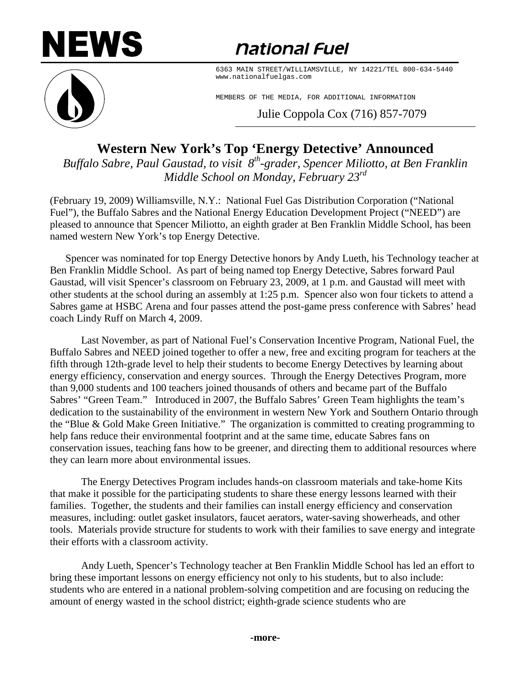# **NEWS**

## *<u>national Fuel</u>*



6363 MAIN STREET/WILLIAMSVILLE, NY 14221/TEL 800-634-5440 www.nationalfuelgas.com

MEMBERS OF THE MEDIA, FOR ADDITIONAL INFORMATION

Julie Coppola Cox (716) 857-7079

## **Western New York's Top 'Energy Detective' Announced**

*Buffalo Sabre, Paul Gaustad, to visit 8th-grader, Spencer Miliotto, at Ben Franklin Middle School on Monday, February 23rd*

(February 19, 2009) Williamsville, N.Y.: National Fuel Gas Distribution Corporation ("National Fuel"), the Buffalo Sabres and the National Energy Education Development Project ("NEED") are pleased to announce that Spencer Miliotto, an eighth grader at Ben Franklin Middle School, has been named western New York's top Energy Detective.

Spencer was nominated for top Energy Detective honors by Andy Lueth, his Technology teacher at Ben Franklin Middle School. As part of being named top Energy Detective, Sabres forward Paul Gaustad, will visit Spencer's classroom on February 23, 2009, at 1 p.m. and Gaustad will meet with other students at the school during an assembly at 1:25 p.m. Spencer also won four tickets to attend a Sabres game at HSBC Arena and four passes attend the post-game press conference with Sabres' head coach Lindy Ruff on March 4, 2009.

Last November, as part of National Fuel's Conservation Incentive Program, National Fuel, the Buffalo Sabres and NEED joined together to offer a new, free and exciting program for teachers at the fifth through 12th-grade level to help their students to become Energy Detectives by learning about energy efficiency, conservation and energy sources. Through the Energy Detectives Program, more than 9,000 students and 100 teachers joined thousands of others and became part of the Buffalo Sabres' "Green Team." Introduced in 2007, the Buffalo Sabres' Green Team highlights the team's dedication to the sustainability of the environment in western New York and Southern Ontario through the "Blue & Gold Make Green Initiative." The organization is committed to creating programming to help fans reduce their environmental footprint and at the same time, educate Sabres fans on conservation issues, teaching fans how to be greener, and directing them to additional resources where they can learn more about environmental issues.

The Energy Detectives Program includes hands-on classroom materials and take-home Kits that make it possible for the participating students to share these energy lessons learned with their families. Together, the students and their families can install energy efficiency and conservation measures, including: outlet gasket insulators, faucet aerators, water-saving showerheads, and other tools. Materials provide structure for students to work with their families to save energy and integrate their efforts with a classroom activity.

Andy Lueth, Spencer's Technology teacher at Ben Franklin Middle School has led an effort to bring these important lessons on energy efficiency not only to his students, but to also include: students who are entered in a national problem-solving competition and are focusing on reducing the amount of energy wasted in the school district; eighth-grade science students who are